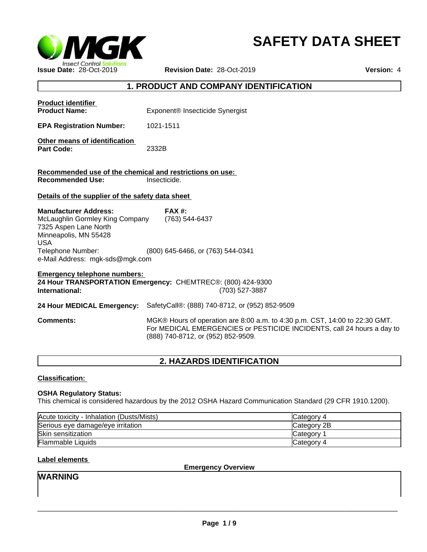

# **SAFETY DATA SHEET**

# **1. PRODUCT AND COMPANY IDENTIFICATION**

| <b>Product identifier</b><br><b>Product Name:</b>                                                                                                                                       | Exponent <sup>®</sup> Insecticide Synergist                                                                                                                                                 |
|-----------------------------------------------------------------------------------------------------------------------------------------------------------------------------------------|---------------------------------------------------------------------------------------------------------------------------------------------------------------------------------------------|
| <b>EPA Registration Number:</b>                                                                                                                                                         | 1021-1511                                                                                                                                                                                   |
| Other means of identification<br><b>Part Code:</b>                                                                                                                                      | 2332B                                                                                                                                                                                       |
| Recommended use of the chemical and restrictions on use:<br><b>Recommended Use:</b>                                                                                                     | Insecticide.                                                                                                                                                                                |
| Details of the supplier of the safety data sheet                                                                                                                                        |                                                                                                                                                                                             |
| <b>Manufacturer Address:</b><br>McLaughlin Gormley King Company<br>7325 Aspen Lane North<br>Minneapolis, MN 55428<br><b>USA</b><br>Telephone Number:<br>e-Mail Address: mgk-sds@mgk.com | <b>FAX #:</b><br>(763) 544-6437<br>(800) 645-6466, or (763) 544-0341                                                                                                                        |
| <b>Emergency telephone numbers:</b><br>International:                                                                                                                                   | 24 Hour TRANSPORTATION Emergency: CHEMTREC®: (800) 424-9300<br>(703) 527-3887                                                                                                               |
| 24 Hour MEDICAL Emergency:                                                                                                                                                              | SafetyCall®: (888) 740-8712, or (952) 852-9509                                                                                                                                              |
| <b>Comments:</b>                                                                                                                                                                        | MGK® Hours of operation are 8:00 a.m. to 4:30 p.m. CST, 14:00 to 22:30 GMT.<br>For MEDICAL EMERGENCIES or PESTICIDE INCIDENTS, call 24 hours a day to<br>(888) 740-8712, or (952) 852-9509. |
|                                                                                                                                                                                         |                                                                                                                                                                                             |

# **2. HAZARDS IDENTIFICATION**

# **Classification:**

# **OSHA Regulatory Status:**

This chemical is considered hazardous by the 2012 OSHA Hazard Communication Standard (29 CFR 1910.1200).

| Acute toxicity - Inhalation (Dusts/Mists) | <b>Category 4</b> |
|-------------------------------------------|-------------------|
| Serious eye damage/eye irritation         | Category 2B       |
| Skin sensitization                        | Category          |
| Flammable Liquids                         | Category 4        |

# **Label elements**

**Emergency Overview**

# **WARNING**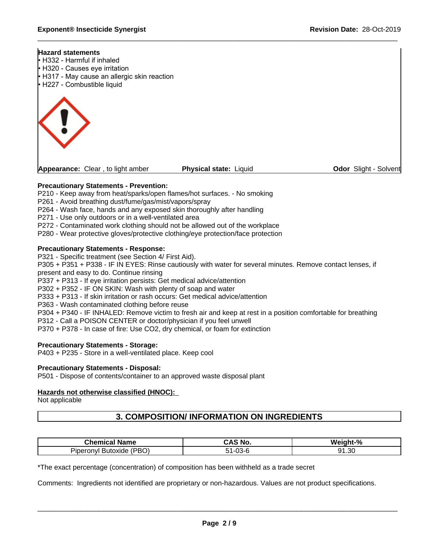#### **Hazard statements**

- **H332 Harmful if inhaled**
- H320 Causes eye irritation
- H317 May cause an allergic skin reaction
- H227 Combustible liquid



**Appearance:** Clear, to light amber **Physical state:** Liquid

**Odor** Slight - Solvent

# **Precautionary Statements - Prevention:**

P210 - Keep away from heat/sparks/open flames/hot surfaces. - No smoking

- P261 Avoid breathing dust/fume/gas/mist/vapors/spray
- P264 Wash face, hands and any exposed skin thoroughly after handling
- P271 Use only outdoors or in a well-ventilated area
- P272 Contaminated work clothing should not be allowed out of the workplace

P280 - Wear protective gloves/protective clothing/eye protection/face protection

# **Precautionary Statements - Response:**

P321 - Specific treatment (see Section 4/ First Aid).

P305 + P351 + P338 - IF IN EYES: Rinse cautiously with water for several minutes. Remove contact lenses, if present and easy to do. Continue rinsing

P337 + P313 - If eye irritation persists: Get medical advice/attention

P302 + P352 - IF ON SKIN: Wash with plenty of soap and water

- P333 + P313 If skin irritation or rash occurs: Get medical advice/attention
- P363 Wash contaminated clothing before reuse

P304 + P340 - IF INHALED: Remove victim to fresh air and keep at rest in a position comfortable for breathing

- P312 Call a POISON CENTER or doctor/physician if you feel unwell
- P370 + P378 In case of fire: Use CO2, dry chemical, or foam for extinction

# **Precautionary Statements - Storage:**

P403 + P235 - Store in a well-ventilated place. Keep cool

### **Precautionary Statements - Disposal:**

P501 - Dispose of contents/container to an approved waste disposal plant

### **Hazards not otherwise classified (HNOC):**

Not applicable

# **3. COMPOSITION/ INFORMATION ON INGREDIENTS**

| Chemical<br>Name                                     | .<br><sup>ষ</sup> No.<br><i>n</i> .<br>JAJ | Weight-%            |
|------------------------------------------------------|--------------------------------------------|---------------------|
| IDDO<br>. .<br>eronvl<br>Butoxide<br>۱۳.<br>◡<br>טשו | ט-כט                                       | $^{\circ}$<br>1.30ء |

\*The exact percentage (concentration) of composition has been withheld as a trade secret

Comments: Ingredients not identified are proprietary or non-hazardous. Values are not product specifications.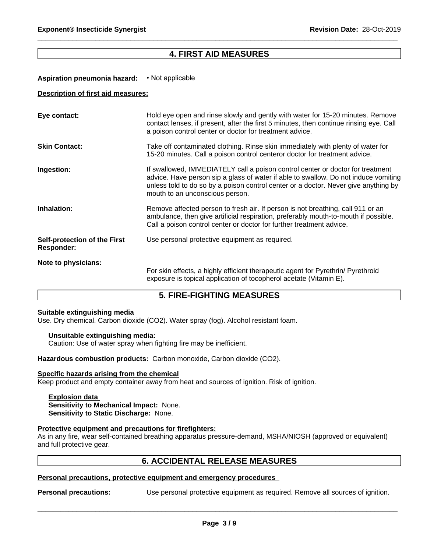# **4. FIRST AID MEASURES**

### **Aspiration pneumonia hazard:** • Not applicable

### **Description of first aid measures:**

| Eye contact:                               | Hold eye open and rinse slowly and gently with water for 15-20 minutes. Remove<br>contact lenses, if present, after the first 5 minutes, then continue rinsing eye. Call<br>a poison control center or doctor for treatment advice.                                                             |
|--------------------------------------------|-------------------------------------------------------------------------------------------------------------------------------------------------------------------------------------------------------------------------------------------------------------------------------------------------|
| <b>Skin Contact:</b>                       | Take off contaminated clothing. Rinse skin immediately with plenty of water for<br>15-20 minutes. Call a poison control centeror doctor for treatment advice.                                                                                                                                   |
| Ingestion:                                 | If swallowed, IMMEDIATELY call a poison control center or doctor for treatment<br>advice. Have person sip a glass of water if able to swallow. Do not induce vomiting<br>unless told to do so by a poison control center or a doctor. Never give anything by<br>mouth to an unconscious person. |
| Inhalation:                                | Remove affected person to fresh air. If person is not breathing, call 911 or an<br>ambulance, then give artificial respiration, preferably mouth-to-mouth if possible.<br>Call a poison control center or doctor for further treatment advice.                                                  |
| Self-protection of the First<br>Responder: | Use personal protective equipment as required.                                                                                                                                                                                                                                                  |
| Note to physicians:                        | For skin effects, a highly efficient therapeutic agent for Pyrethrin/ Pyrethroid<br>exposure is topical application of tocopherol acetate (Vitamin E).                                                                                                                                          |

# **5. FIRE-FIGHTING MEASURES**

#### **Suitable extinguishing media**

Use. Dry chemical. Carbon dioxide (CO2). Water spray (fog). Alcohol resistant foam.

#### **Unsuitable extinguishing media:**

Caution: Use of water spray when fighting fire may be inefficient.

**Hazardous combustion products:** Carbon monoxide, Carbon dioxide (CO2).

### **Specific hazards arising from the chemical**

Keep product and empty container away from heat and sources of ignition. Risk of ignition.

**Explosion data Sensitivity to Mechanical Impact:** None. **Sensitivity to Static Discharge:** None.

#### **Protective equipment and precautions for firefighters:**

As in any fire, wear self-contained breathing apparatus pressure-demand, MSHA/NIOSH (approved or equivalent) and full protective gear.

# **6. ACCIDENTAL RELEASE MEASURES**

### **Personal precautions, protective equipment and emergency procedures**

**Personal precautions:** Use personal protective equipment as required. Remove all sources of ignition.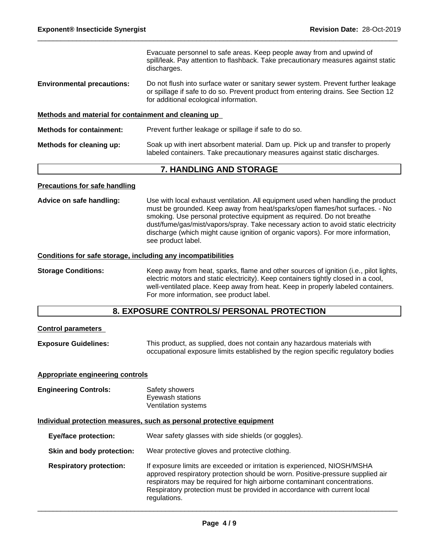Evacuate personnel to safe areas. Keep people away from and upwind of spill/leak. Pay attention to flashback. Take precautionary measures against static discharges.

**Environmental precautions:** Do not flush into surface water or sanitary sewer system. Prevent further leakage or spillage if safe to do so. Prevent product from entering drains. See Section 12 for additional ecological information.

### **Methods and material for containment and cleaning up**

| <b>Methods for containment:</b> | Prevent further leakage or spillage if safe to do so.                                                                                                         |
|---------------------------------|---------------------------------------------------------------------------------------------------------------------------------------------------------------|
| Methods for cleaning up:        | Soak up with inert absorbent material. Dam up. Pick up and transfer to properly<br>labeled containers. Take precautionary measures against static discharges. |

# **7. HANDLING AND STORAGE**

### **Precautions for safe handling**

**Advice on safe handling:** Use with local exhaust ventilation. All equipment used when handling the product must be grounded. Keep away from heat/sparks/open flames/hot surfaces. - No smoking. Use personal protective equipment as required. Do not breathe dust/fume/gas/mist/vapors/spray. Take necessary action to avoid static electricity discharge (which might cause ignition of organic vapors). For more information, see product label.

### **Conditions for safe storage, including any incompatibilities**

**Storage Conditions:** Keep away from heat, sparks, flame and other sources of ignition (i.e., pilot lights, electric motors and static electricity). Keep containers tightly closed in a cool, well-ventilated place. Keep away from heat. Keep in properly labeled containers. For more information, see product label.

# **8. EXPOSURE CONTROLS/ PERSONAL PROTECTION**

### **Control parameters**

**Exposure Guidelines:** This product, as supplied, does not contain any hazardous materials with occupational exposure limits established by the region specific regulatory bodies

### **Appropriate engineering controls**

**Engineering Controls:** Safety showers Eyewash stations Ventilation systems

#### **Individual protection measures, such as personal protective equipment**

| <b>Eye/face protection:</b>    | Wear safety glasses with side shields (or goggles).                                                                                                                                                                                                                                                                                 |
|--------------------------------|-------------------------------------------------------------------------------------------------------------------------------------------------------------------------------------------------------------------------------------------------------------------------------------------------------------------------------------|
| Skin and body protection:      | Wear protective gloves and protective clothing.                                                                                                                                                                                                                                                                                     |
| <b>Respiratory protection:</b> | If exposure limits are exceeded or irritation is experienced, NIOSH/MSHA<br>approved respiratory protection should be worn. Positive-pressure supplied air<br>respirators may be required for high airborne contaminant concentrations.<br>Respiratory protection must be provided in accordance with current local<br>regulations. |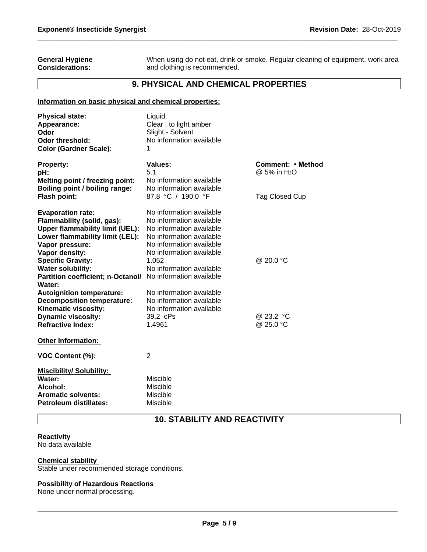### **General Hygiene Considerations:**

When using do not eat, drink or smoke. Regular cleaning of equipment, work area and clothing is recommended.

# **9. PHYSICAL AND CHEMICAL PROPERTIES**

# **Information on basic physical and chemical properties:**

| <b>Physical state:</b><br>Appearance:<br>Odor    | Liquid<br>Clear, to light amber<br>Slight - Solvent |                                               |
|--------------------------------------------------|-----------------------------------------------------|-----------------------------------------------|
| Odor threshold:<br><b>Color (Gardner Scale):</b> | No information available                            |                                               |
| <b>Property:</b><br>pH:                          | Values:<br>5.1                                      | Comment: • Method<br>@ 5% in H <sub>2</sub> O |
| Melting point / freezing point:                  | No information available                            |                                               |
| Boiling point / boiling range:                   | No information available                            |                                               |
| Flash point:                                     | 87.8 °C / 190.0 °F                                  | Tag Closed Cup                                |
| <b>Evaporation rate:</b>                         | No information available                            |                                               |
| Flammability (solid, gas):                       | No information available                            |                                               |
| <b>Upper flammability limit (UEL):</b>           | No information available                            |                                               |
| Lower flammability limit (LEL):                  | No information available                            |                                               |
| Vapor pressure:                                  | No information available                            |                                               |
| Vapor density:                                   | No information available                            |                                               |
| <b>Specific Gravity:</b>                         | 1.052                                               | @ 20.0 °C                                     |
| <b>Water solubility:</b>                         | No information available                            |                                               |
| Partition coefficient; n-Octanol/<br>Water:      | No information available                            |                                               |
| <b>Autoignition temperature:</b>                 | No information available                            |                                               |
| <b>Decomposition temperature:</b>                | No information available                            |                                               |
| Kinematic viscosity:                             | No information available                            |                                               |
| <b>Dynamic viscosity:</b>                        | 39.2 cPs                                            | @ 23.2 °C                                     |
| <b>Refractive Index:</b>                         | 1.4961                                              | @ 25.0 °C                                     |
| <b>Other Information:</b>                        |                                                     |                                               |
| VOC Content (%):                                 | 2                                                   |                                               |
| <b>Miscibility/ Solubility:</b>                  |                                                     |                                               |
| Water:                                           | Miscible                                            |                                               |
| Alcohol:                                         | Miscible                                            |                                               |
| <b>Aromatic solvents:</b>                        | Miscible                                            |                                               |
| <b>Petroleum distillates:</b>                    | Miscible                                            |                                               |

# **10. STABILITY AND REACTIVITY**

#### **Reactivity**  No data available

# **Chemical stability**

Stable under recommended storage conditions.

### **Possibility of Hazardous Reactions**

None under normal processing.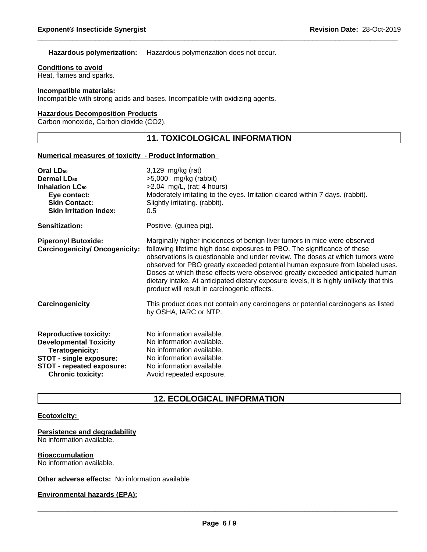**Hazardous polymerization:** Hazardous polymerization does not occur.

**Conditions to avoid**

Heat, flames and sparks.

### **Incompatible materials:**

Incompatible with strong acids and bases. Incompatible with oxidizing agents.

### **Hazardous Decomposition Products**

Carbon monoxide, Carbon dioxide (CO2).

# **11. TOXICOLOGICAL INFORMATION**

### **Numerical measures of toxicity - Product Information**

| 3,129 mg/kg (rat)<br>$>5,000$ mg/kg (rabbit)                                                                                                                                                                                                                                                                                                                                                                                                                                                                                                        |
|-----------------------------------------------------------------------------------------------------------------------------------------------------------------------------------------------------------------------------------------------------------------------------------------------------------------------------------------------------------------------------------------------------------------------------------------------------------------------------------------------------------------------------------------------------|
| $>2.04$ mg/L, (rat; 4 hours)<br>Moderately irritating to the eyes. Irritation cleared within 7 days. (rabbit).<br>Slightly irritating. (rabbit).<br>$0.5^{\circ}$                                                                                                                                                                                                                                                                                                                                                                                   |
| Positive. (guinea pig).                                                                                                                                                                                                                                                                                                                                                                                                                                                                                                                             |
| Marginally higher incidences of benign liver tumors in mice were observed<br>following lifetime high dose exposures to PBO. The significance of these<br>observations is questionable and under review. The doses at which tumors were<br>observed for PBO greatly exceeded potential human exposure from labeled uses.<br>Doses at which these effects were observed greatly exceeded anticipated human<br>dietary intake. At anticipated dietary exposure levels, it is highly unlikely that this<br>product will result in carcinogenic effects. |
| This product does not contain any carcinogens or potential carcinogens as listed<br>by OSHA, IARC or NTP.                                                                                                                                                                                                                                                                                                                                                                                                                                           |
| No information available.<br>No information available.<br>No information available.<br>No information available.<br>No information available.<br>Avoid repeated exposure.                                                                                                                                                                                                                                                                                                                                                                           |
|                                                                                                                                                                                                                                                                                                                                                                                                                                                                                                                                                     |

# **12. ECOLOGICAL INFORMATION**

### **Ecotoxicity:**

**Persistence and degradability** No information available.

**Bioaccumulation** No information available.

**Other adverse effects:** No information available

**Environmental hazards (EPA):**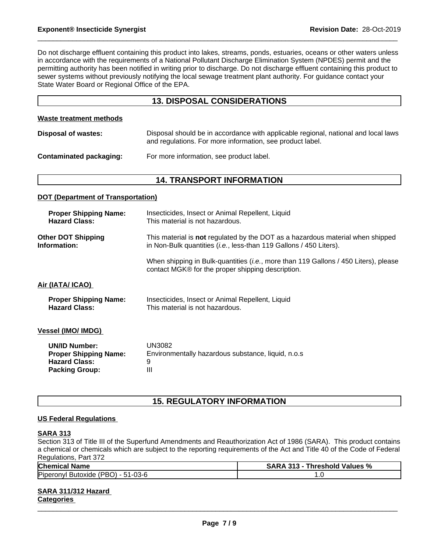Do not discharge effluent containing this product into lakes, streams, ponds, estuaries, oceans or other waters unless in accordance with the requirements of a National Pollutant Discharge Elimination System (NPDES) permit and the permitting authority has been notified in writing prior to discharge. Do not discharge effluent containing this product to sewer systems without previously notifying the local sewage treatment plant authority. For guidance contact your State Water Board or Regional Office of the EPA.

# **13. DISPOSAL CONSIDERATIONS**

### **Waste treatment methods**

| Disposal of wastes:     | Disposal should be in accordance with applicable regional, national and local laws<br>and regulations. For more information, see product label. |
|-------------------------|-------------------------------------------------------------------------------------------------------------------------------------------------|
| Contaminated packaging: | For more information, see product label.                                                                                                        |

# **14. TRANSPORT INFORMATION**

### **DOT (Department of Transportation)**

| <b>Proper Shipping Name:</b> | Insecticides, Insect or Animal Repellent, Liquid                                                                                                  |
|------------------------------|---------------------------------------------------------------------------------------------------------------------------------------------------|
| <b>Hazard Class:</b>         | This material is not hazardous.                                                                                                                   |
| <b>Other DOT Shipping</b>    | This material is <b>not</b> regulated by the DOT as a hazardous material when shipped                                                             |
| Information:                 | in Non-Bulk quantities ( <i>i.e.</i> , less-than 119 Gallons / 450 Liters).                                                                       |
|                              | When shipping in Bulk-quantities ( <i>i.e.</i> , more than 119 Gallons / 450 Liters), please<br>contact MGK® for the proper shipping description. |
| Air (IATA/ ICAO)             |                                                                                                                                                   |
| <b>Proper Shipping Name:</b> | Insecticides, Insect or Animal Repellent, Liquid                                                                                                  |
| <b>Hazard Class:</b>         | This material is not hazardous.                                                                                                                   |
| <b>Vessel (IMO/ IMDG)</b>    |                                                                                                                                                   |
| <b>UN/ID Number:</b>         | UN3082                                                                                                                                            |
| <b>Proper Shipping Name:</b> | Environmentally hazardous substance, liquid, n.o.s                                                                                                |
| <b>Hazard Class:</b>         | 9                                                                                                                                                 |
| <b>Packing Group:</b>        | Ш                                                                                                                                                 |
|                              |                                                                                                                                                   |

# **15. REGULATORY INFORMATION**

# **US Federal Regulations**

### **SARA 313**

Section 313 of Title III of the Superfund Amendments and Reauthorization Act of 1986 (SARA). This product contains a chemical or chemicals which are subject to the reporting requirements of the Act and Title 40 of the Code of Federal Regulations, Part 372

| Chemical<br>.<br>Name                                                                                                            | Values %<br>SARA<br>- 242<br>reshold<br>hı<br>70<br>$\mathbf{B}$ |  |
|----------------------------------------------------------------------------------------------------------------------------------|------------------------------------------------------------------|--|
| Pipero<br>$\overline{\phantom{0}}$<br>$-03-6$<br>$\overline{\phantom{0}}$<br>≀סמי<br>Butoxide<br>$-52$<br>.onv<br>вч<br>.<br>. . | ں .                                                              |  |

# **SARA 311/312 Hazard**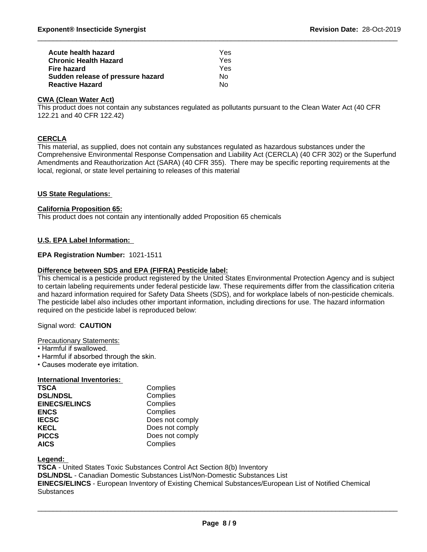| Acute health hazard               | Yes |  |
|-----------------------------------|-----|--|
| <b>Chronic Health Hazard</b>      | Yes |  |
| Fire hazard                       | Yes |  |
| Sudden release of pressure hazard | N٥  |  |
| <b>Reactive Hazard</b>            | Nο  |  |

# **CWA (Clean Water Act)**

This product does not contain any substances regulated as pollutants pursuant to the Clean Water Act (40 CFR 122.21 and 40 CFR 122.42)

# **CERCLA**

This material, as supplied, does not contain any substances regulated as hazardous substances under the Comprehensive Environmental Response Compensation and Liability Act (CERCLA) (40 CFR 302) or the Superfund Amendments and Reauthorization Act (SARA) (40 CFR 355). There may be specific reporting requirements at the local, regional, or state level pertaining to releases of this material

# **US State Regulations:**

### **California Proposition 65:**

This product does not contain any intentionally added Proposition 65 chemicals

# **U.S. EPA Label Information:**

# **EPA Registration Number:** 1021-1511

# **Difference between SDS and EPA (FIFRA) Pesticide label:**

This chemical is a pesticide product registered by the United States Environmental Protection Agency and is subject to certain labeling requirements under federal pesticide law. These requirements differ from the classification criteria and hazard information required for Safety Data Sheets (SDS), and for workplace labels of non-pesticide chemicals. The pesticide label also includes other important information, including directions for use. The hazard information required on the pesticide label is reproduced below:

### Signal word: **CAUTION**

### Precautionary Statements:

- Harmful if swallowed.
- Harmful if absorbed through the skin.
- Causes moderate eye irritation.

### **International Inventories:**

| <b>TSCA</b>          | Complies        |
|----------------------|-----------------|
| <b>DSL/NDSL</b>      | Complies        |
| <b>EINECS/ELINCS</b> | Complies        |
| <b>ENCS</b>          | Complies        |
| <b>IECSC</b>         | Does not comply |
| <b>KECL</b>          | Does not comply |
| <b>PICCS</b>         | Does not comply |
| <b>AICS</b>          | Complies        |

**Legend:** 

**TSCA** - United States Toxic Substances Control Act Section 8(b) Inventory **DSL/NDSL** - Canadian Domestic Substances List/Non-Domestic Substances List **EINECS/ELINCS** - European Inventory of Existing Chemical Substances/European List of Notified Chemical **Substances**